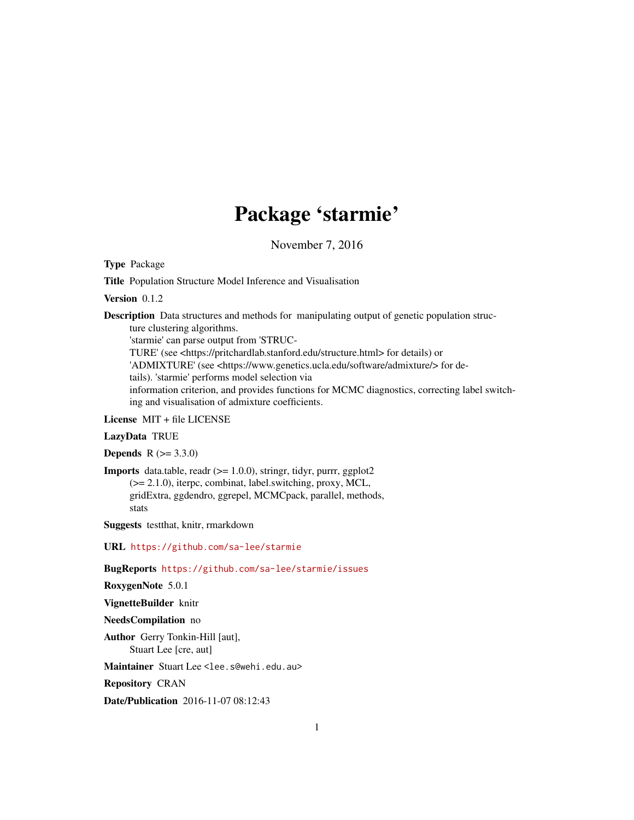# Package 'starmie'

November 7, 2016

Type Package

Title Population Structure Model Inference and Visualisation

Version 0.1.2

Description Data structures and methods for manipulating output of genetic population structure clustering algorithms.

'starmie' can parse output from 'STRUC-

TURE' (see <https://pritchardlab.stanford.edu/structure.html> for details) or

'ADMIXTURE' (see <https://www.genetics.ucla.edu/software/admixture/> for details). 'starmie' performs model selection via

information criterion, and provides functions for MCMC diagnostics, correcting label switching and visualisation of admixture coefficients.

License MIT + file LICENSE

#### LazyData TRUE

**Depends**  $R (= 3.3.0)$ 

**Imports** data.table, readr  $(>= 1.0.0)$ , stringr, tidyr, purrr, ggplot2 (>= 2.1.0), iterpc, combinat, label.switching, proxy, MCL, gridExtra, ggdendro, ggrepel, MCMCpack, parallel, methods, stats

Suggests testthat, knitr, rmarkdown

URL <https://github.com/sa-lee/starmie>

BugReports <https://github.com/sa-lee/starmie/issues>

RoxygenNote 5.0.1

VignetteBuilder knitr

NeedsCompilation no

Author Gerry Tonkin-Hill [aut], Stuart Lee [cre, aut]

Maintainer Stuart Lee <lee.s@wehi.edu.au>

Repository CRAN

Date/Publication 2016-11-07 08:12:43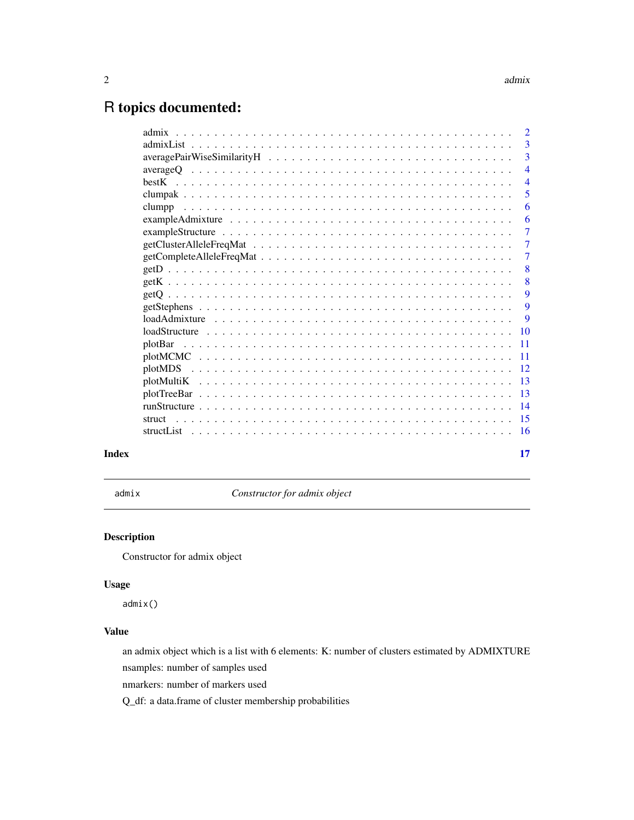## <span id="page-1-0"></span>R topics documented:

|       |                                                                                                                       | $\overline{2}$  |
|-------|-----------------------------------------------------------------------------------------------------------------------|-----------------|
|       |                                                                                                                       | $\overline{3}$  |
|       |                                                                                                                       | 3               |
|       |                                                                                                                       | $\overline{4}$  |
|       |                                                                                                                       | $\overline{4}$  |
|       |                                                                                                                       | 5               |
|       |                                                                                                                       | 6               |
|       |                                                                                                                       | 6               |
|       |                                                                                                                       | $\overline{7}$  |
|       |                                                                                                                       | $\overline{7}$  |
|       |                                                                                                                       | $\overline{7}$  |
|       |                                                                                                                       | 8               |
|       |                                                                                                                       | 8               |
|       |                                                                                                                       | 9               |
|       |                                                                                                                       | 9               |
|       |                                                                                                                       | -9              |
|       | $loadStructure \dots \dots \dots \dots \dots \dots \dots \dots \dots \dots \dots \dots \dots \dots \dots \dots \dots$ | $\overline{10}$ |
|       |                                                                                                                       |                 |
|       |                                                                                                                       |                 |
|       |                                                                                                                       |                 |
|       |                                                                                                                       |                 |
|       |                                                                                                                       |                 |
|       |                                                                                                                       |                 |
|       | struct                                                                                                                |                 |
|       |                                                                                                                       |                 |
|       |                                                                                                                       |                 |
| Index |                                                                                                                       | 17              |

<span id="page-1-1"></span>admix *Constructor for admix object*

#### Description

Constructor for admix object

#### Usage

admix()

### Value

an admix object which is a list with 6 elements: K: number of clusters estimated by ADMIXTURE

nsamples: number of samples used

nmarkers: number of markers used

Q\_df: a data.frame of cluster membership probabilities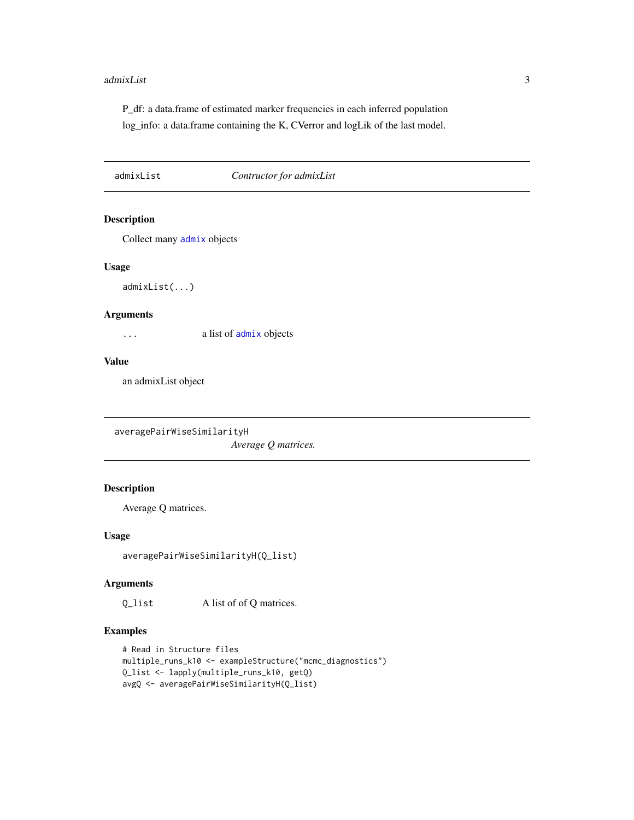#### <span id="page-2-0"></span>admixList 3

P\_df: a data.frame of estimated marker frequencies in each inferred population log\_info: a data.frame containing the K, CVerror and logLik of the last model.

<span id="page-2-1"></span>admixList *Contructor for admixList*

#### Description

Collect many [admix](#page-1-1) objects

#### Usage

admixList(...)

#### Arguments

... a list of [admix](#page-1-1) objects

#### Value

an admixList object

averagePairWiseSimilarityH

*Average Q matrices.*

#### Description

Average Q matrices.

#### Usage

averagePairWiseSimilarityH(Q\_list)

#### Arguments

Q\_list A list of of Q matrices.

#### Examples

```
# Read in Structure files
multiple_runs_k10 <- exampleStructure("mcmc_diagnostics")
Q_list <- lapply(multiple_runs_k10, getQ)
avgQ <- averagePairWiseSimilarityH(Q_list)
```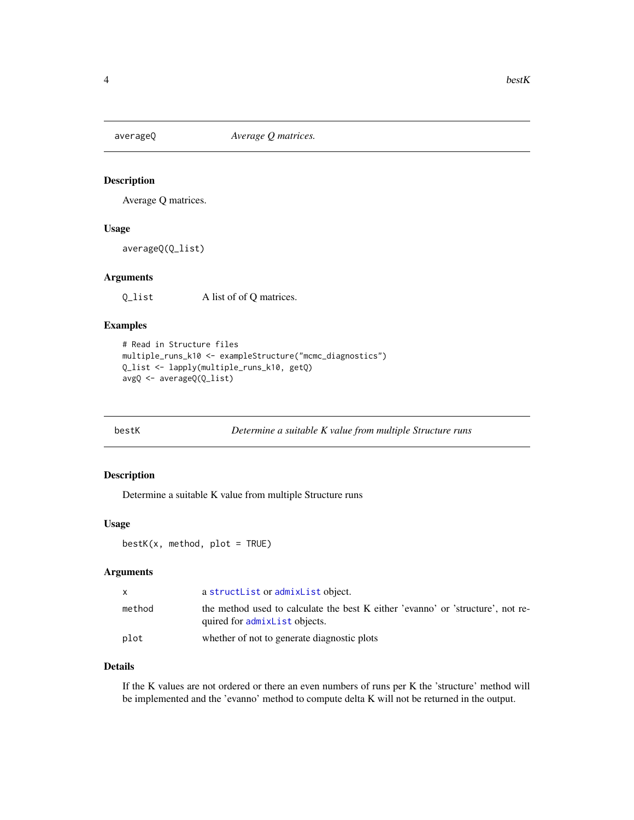<span id="page-3-0"></span>

Average Q matrices.

#### Usage

averageQ(Q\_list)

#### Arguments

Q\_list A list of of Q matrices.

#### Examples

```
# Read in Structure files
multiple_runs_k10 <- exampleStructure("mcmc_diagnostics")
Q_list <- lapply(multiple_runs_k10, getQ)
avgQ <- averageQ(Q_list)
```

```
bestK Determine a suitable K value from multiple Structure runs
```
#### Description

Determine a suitable K value from multiple Structure runs

#### Usage

```
bestK(x, method, plot = TRUE)
```
#### Arguments

|        | a struct List or admix List object.                                                                              |
|--------|------------------------------------------------------------------------------------------------------------------|
| method | the method used to calculate the best K either 'evanno' or 'structure', not re-<br>quired for admixList objects. |
| plot   | whether of not to generate diagnostic plots                                                                      |

#### Details

If the K values are not ordered or there an even numbers of runs per K the 'structure' method will be implemented and the 'evanno' method to compute delta K will not be returned in the output.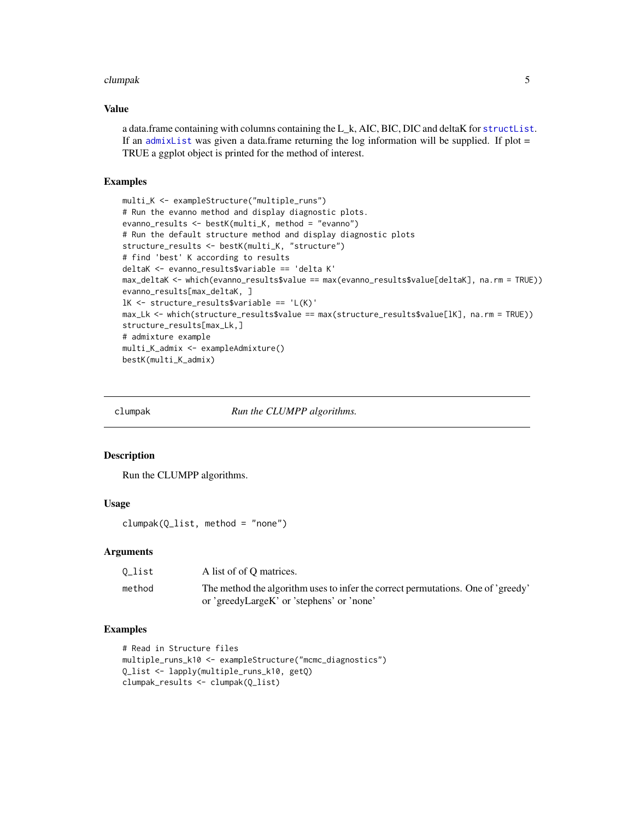#### <span id="page-4-0"></span>clumpak 5

#### Value

a data.frame containing with columns containing the L\_k, AIC, BIC, DIC and deltaK for [structList](#page-15-1). If an admix List was given a data.frame returning the log information will be supplied. If plot  $=$ TRUE a ggplot object is printed for the method of interest.

#### Examples

```
multi_K <- exampleStructure("multiple_runs")
# Run the evanno method and display diagnostic plots.
evanno_results <- bestK(multi_K, method = "evanno")
# Run the default structure method and display diagnostic plots
structure_results <- bestK(multi_K, "structure")
# find 'best' K according to results
deltaK <- evanno_results$variable == 'delta K'
max_deltaK <- which(evanno_results$value == max(evanno_results$value[deltaK], na.rm = TRUE))
evanno_results[max_deltaK, ]
lK <- structure_results$variable == 'L(K)'
max_Lk <- which(structure_results$value == max(structure_results$value[lK], na.rm = TRUE))
structure_results[max_Lk,]
# admixture example
multi_K_admix <- exampleAdmixture()
bestK(multi_K_admix)
```
clumpak *Run the CLUMPP algorithms.*

#### Description

Run the CLUMPP algorithms.

#### Usage

clumpak(Q\_list, method = "none")

#### Arguments

| 0_list | A list of of O matrices.                                                         |
|--------|----------------------------------------------------------------------------------|
| method | The method the algorithm uses to infer the correct permutations. One of 'greedy' |
|        | or 'greedyLargeK' or 'stephens' or 'none'                                        |

#### Examples

```
# Read in Structure files
multiple_runs_k10 <- exampleStructure("mcmc_diagnostics")
Q_list <- lapply(multiple_runs_k10, getQ)
clumpak_results <- clumpak(Q_list)
```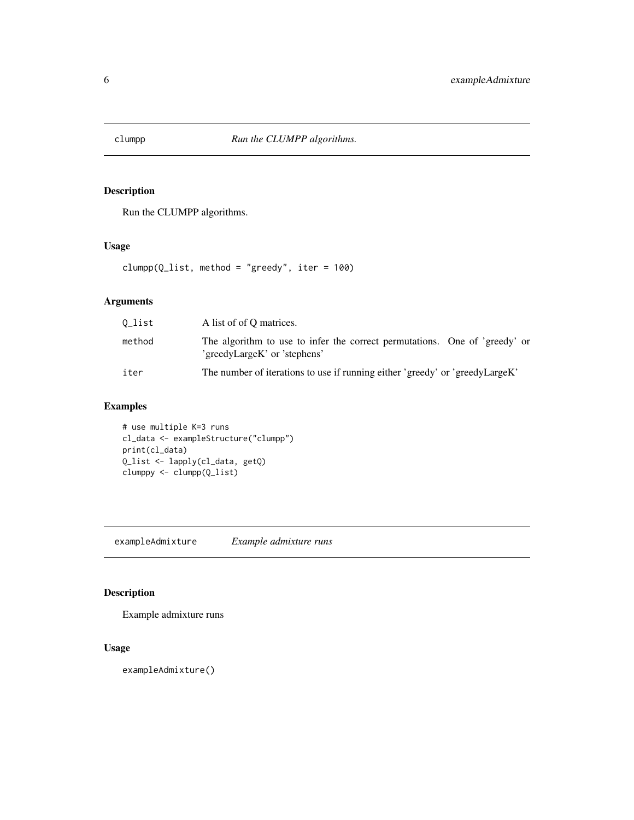<span id="page-5-0"></span>

Run the CLUMPP algorithms.

#### Usage

clumpp( $Q$ \_list, method = "greedy", iter = 100)

#### Arguments

| 0_list | A list of of O matrices.                                                                                   |
|--------|------------------------------------------------------------------------------------------------------------|
| method | The algorithm to use to infer the correct permutations. One of 'greedy' or<br>'greedyLargeK' or 'stephens' |
| iter   | The number of iterations to use if running either 'greedy' or 'greedyLargeK'                               |

#### Examples

# use multiple K=3 runs cl\_data <- exampleStructure("clumpp") print(cl\_data) Q\_list <- lapply(cl\_data, getQ) clumppy <- clumpp(Q\_list)

exampleAdmixture *Example admixture runs*

### Description

Example admixture runs

#### Usage

exampleAdmixture()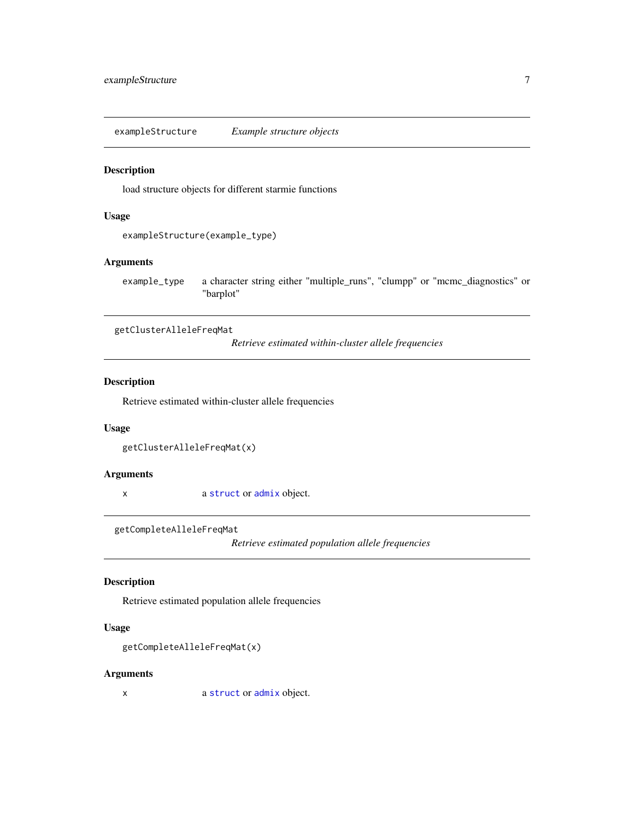<span id="page-6-0"></span>exampleStructure *Example structure objects*

#### Description

load structure objects for different starmie functions

#### Usage

```
exampleStructure(example_type)
```
#### Arguments

example\_type a character string either "multiple\_runs", "clumpp" or "mcmc\_diagnostics" or "barplot"

getClusterAlleleFreqMat

*Retrieve estimated within-cluster allele frequencies*

#### Description

Retrieve estimated within-cluster allele frequencies

#### Usage

getClusterAlleleFreqMat(x)

#### Arguments

x a [struct](#page-14-1) or [admix](#page-1-1) object.

getCompleteAlleleFreqMat

*Retrieve estimated population allele frequencies*

#### Description

Retrieve estimated population allele frequencies

#### Usage

```
getCompleteAlleleFreqMat(x)
```
#### Arguments

x a [struct](#page-14-1) or [admix](#page-1-1) object.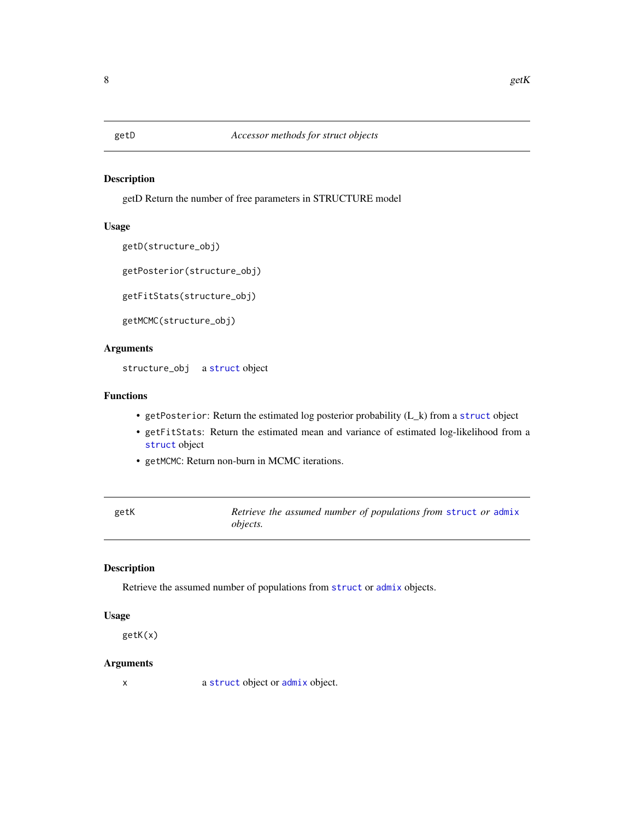<span id="page-7-0"></span>

getD Return the number of free parameters in STRUCTURE model

#### Usage

```
getD(structure_obj)
```
getPosterior(structure\_obj)

getFitStats(structure\_obj)

getMCMC(structure\_obj)

#### Arguments

structure\_obj a [struct](#page-14-1) object

#### Functions

- getPosterior: Return the estimated log posterior probability (L\_k) from a [struct](#page-14-1) object
- getFitStats: Return the estimated mean and variance of estimated log-likelihood from a [struct](#page-14-1) object
- getMCMC: Return non-burn in MCMC iterations.

| getK | Retrieve the assumed number of populations from struct or admix |
|------|-----------------------------------------------------------------|
|      | <i>objects.</i>                                                 |

#### Description

Retrieve the assumed number of populations from [struct](#page-14-1) or [admix](#page-1-1) objects.

#### Usage

getK(x)

#### Arguments

x a [struct](#page-14-1) object or [admix](#page-1-1) object.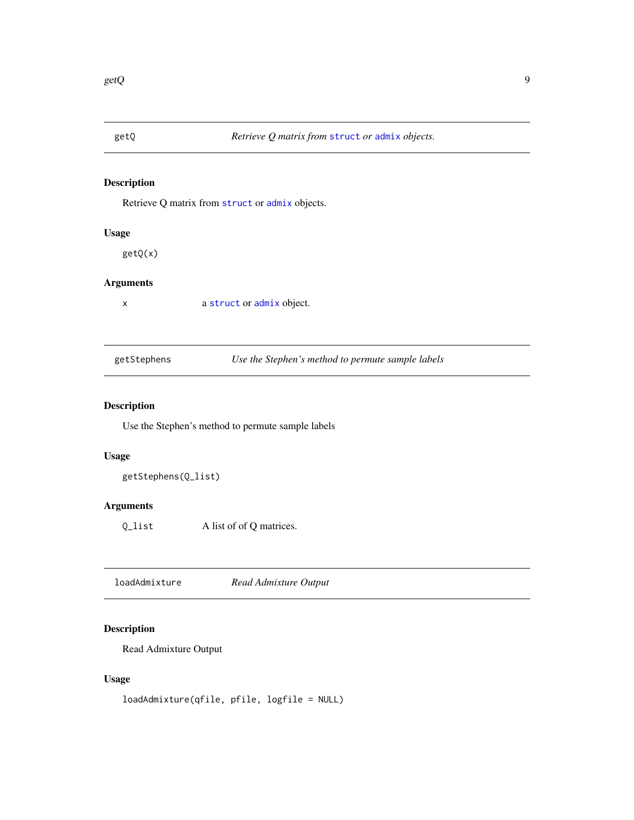<span id="page-8-0"></span>

Retrieve Q matrix from [struct](#page-14-1) or [admix](#page-1-1) objects.

#### Usage

getQ(x)

#### Arguments

x a [struct](#page-14-1) or [admix](#page-1-1) object.

getStephens *Use the Stephen's method to permute sample labels*

#### Description

Use the Stephen's method to permute sample labels

#### Usage

getStephens(Q\_list)

#### Arguments

Q\_list A list of of Q matrices.

loadAdmixture *Read Admixture Output*

#### Description

Read Admixture Output

#### Usage

loadAdmixture(qfile, pfile, logfile = NULL)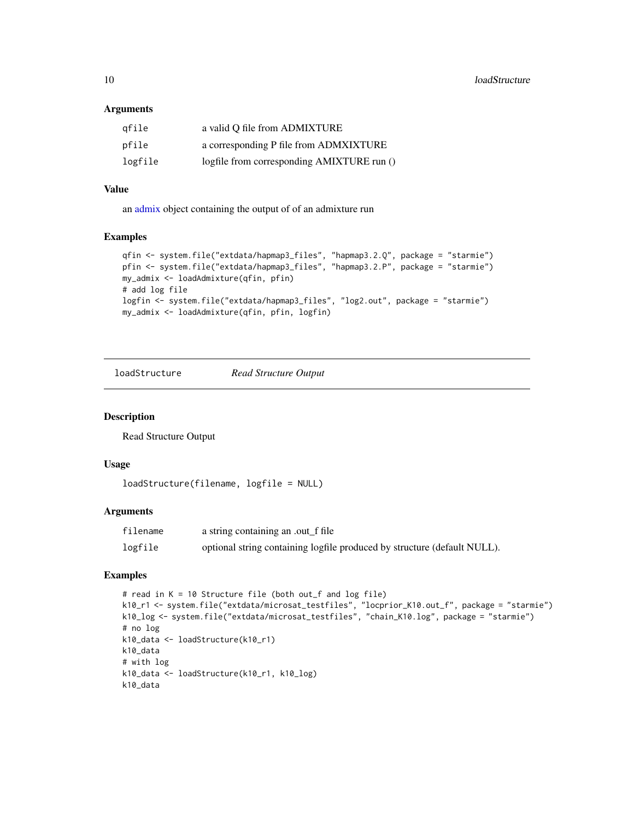#### <span id="page-9-0"></span>**Arguments**

| gfile   | a valid Q file from ADMIXTURE              |
|---------|--------------------------------------------|
| pfile   | a corresponding P file from ADMXIXTURE     |
| logfile | logfile from corresponding AMIXTURE run () |

#### Value

an [admix](#page-1-1) object containing the output of of an admixture run

#### Examples

```
qfin <- system.file("extdata/hapmap3_files", "hapmap3.2.Q", package = "starmie")
pfin <- system.file("extdata/hapmap3_files", "hapmap3.2.P", package = "starmie")
my_admix <- loadAdmixture(qfin, pfin)
# add log file
logfin <- system.file("extdata/hapmap3_files", "log2.out", package = "starmie")
my_admix <- loadAdmixture(qfin, pfin, logfin)
```
<span id="page-9-1"></span>loadStructure *Read Structure Output*

#### Description

Read Structure Output

#### Usage

```
loadStructure(filename, logfile = NULL)
```
#### Arguments

| filename | a string containing an .out_f file                                       |
|----------|--------------------------------------------------------------------------|
| logfile  | optional string containing logfile produced by structure (default NULL). |

#### Examples

```
# read in K = 10 Structure file (both out_f and log file)
k10_r1 <- system.file("extdata/microsat_testfiles", "locprior_K10.out_f", package = "starmie")
k10_log <- system.file("extdata/microsat_testfiles", "chain_K10.log", package = "starmie")
# no log
k10_data <- loadStructure(k10_r1)
k10_data
# with log
k10_data <- loadStructure(k10_r1, k10_log)
k10_data
```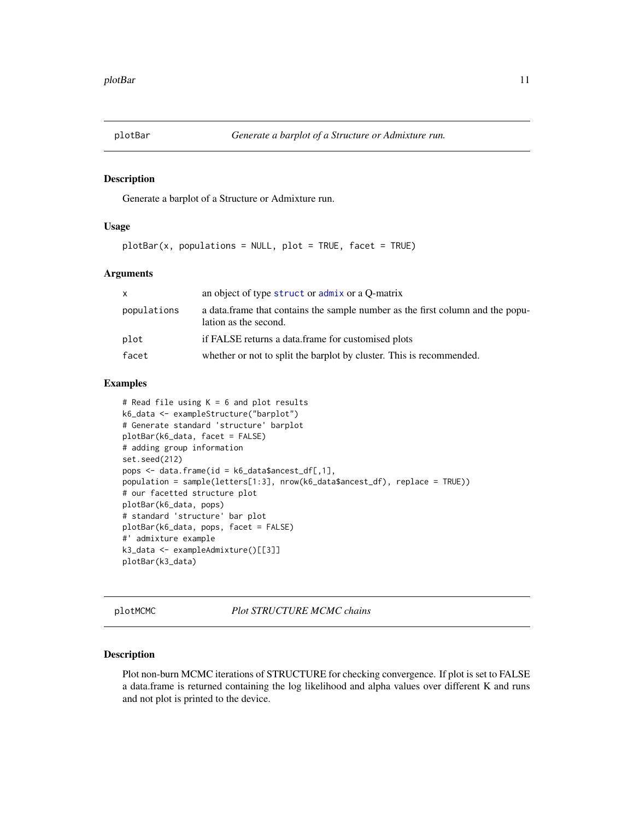<span id="page-10-0"></span>

Generate a barplot of a Structure or Admixture run.

#### Usage

```
plotBar(x, populations = NULL, plot = TRUE, facet = TRUE)
```
#### Arguments

| X           | an object of type struct or admix or a Q-matrix                                                         |
|-------------|---------------------------------------------------------------------------------------------------------|
| populations | a data frame that contains the sample number as the first column and the popu-<br>lation as the second. |
| plot        | if FALSE returns a data frame for customised plots                                                      |
| facet       | whether or not to split the barplot by cluster. This is recommended.                                    |

#### Examples

```
# Read file using K = 6 and plot results
k6_data <- exampleStructure("barplot")
# Generate standard 'structure' barplot
plotBar(k6_data, facet = FALSE)
# adding group information
set.seed(212)
pops <- data.frame(id = k6_data$ancest_df[,1],
population = sample(letters[1:3], nrow(k6_data$ancest_df), replace = TRUE))
# our facetted structure plot
plotBar(k6_data, pops)
# standard 'structure' bar plot
plotBar(k6_data, pops, facet = FALSE)
#' admixture example
k3_data <- exampleAdmixture()[[3]]
plotBar(k3_data)
```
plotMCMC *Plot STRUCTURE MCMC chains*

#### Description

Plot non-burn MCMC iterations of STRUCTURE for checking convergence. If plot is set to FALSE a data.frame is returned containing the log likelihood and alpha values over different K and runs and not plot is printed to the device.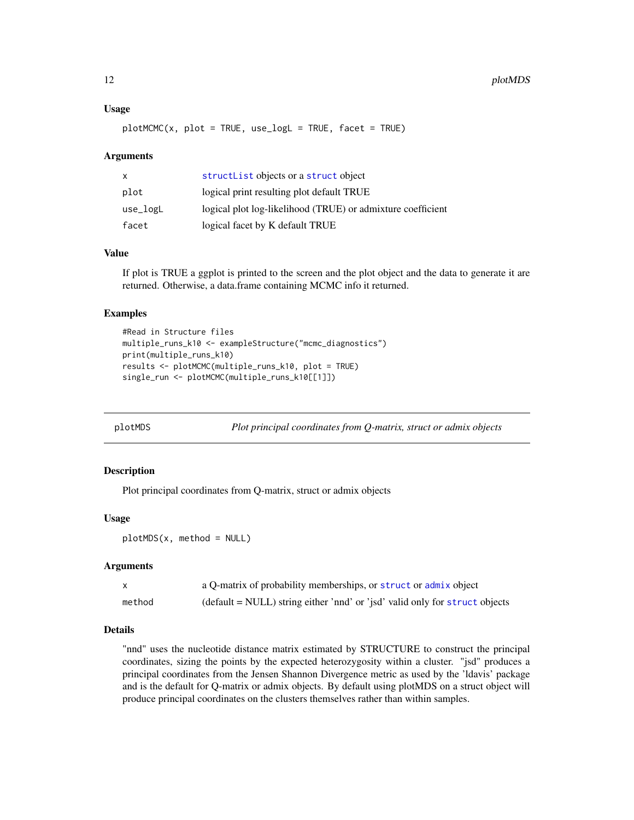#### <span id="page-11-0"></span>Usage

```
plotMCMC(x, plot = TRUE, use_logL = TRUE, facet = TRUE)
```
#### Arguments

| $\mathsf{x}$ | structList objects or a struct object                       |
|--------------|-------------------------------------------------------------|
| plot         | logical print resulting plot default TRUE                   |
| use_logL     | logical plot log-likelihood (TRUE) or admixture coefficient |
| facet        | logical facet by K default TRUE                             |

#### Value

If plot is TRUE a ggplot is printed to the screen and the plot object and the data to generate it are returned. Otherwise, a data.frame containing MCMC info it returned.

#### Examples

```
#Read in Structure files
multiple_runs_k10 <- exampleStructure("mcmc_diagnostics")
print(multiple_runs_k10)
results <- plotMCMC(multiple_runs_k10, plot = TRUE)
single_run <- plotMCMC(multiple_runs_k10[[1]])
```

```
plotMDS Plot principal coordinates from Q-matrix, struct or admix objects
```
#### Description

Plot principal coordinates from Q-matrix, struct or admix objects

#### Usage

```
plotMDS(x, method = NULL)
```
#### Arguments

|        | a Q-matrix of probability memberships, or struct or admix object                            |
|--------|---------------------------------------------------------------------------------------------|
| method | $(\text{default} = \text{NULL})$ string either 'nnd' or 'jsd' valid only for struct objects |

#### Details

"nnd" uses the nucleotide distance matrix estimated by STRUCTURE to construct the principal coordinates, sizing the points by the expected heterozygosity within a cluster. "jsd" produces a principal coordinates from the Jensen Shannon Divergence metric as used by the 'ldavis' package and is the default for Q-matrix or admix objects. By default using plotMDS on a struct object will produce principal coordinates on the clusters themselves rather than within samples.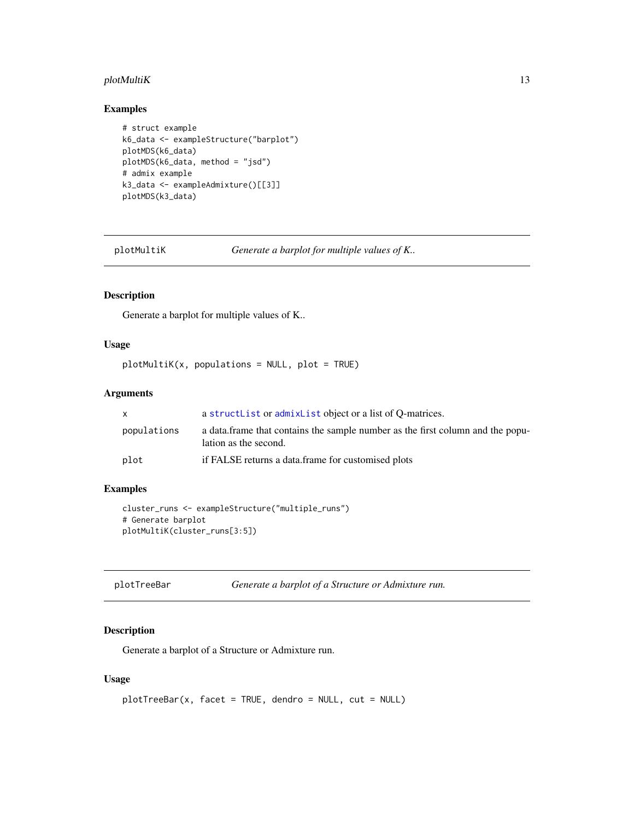#### <span id="page-12-0"></span>plotMultiK 13

#### Examples

```
# struct example
k6_data <- exampleStructure("barplot")
plotMDS(k6_data)
plotMDS(k6_data, method = "jsd")
# admix example
k3_data <- exampleAdmixture()[[3]]
plotMDS(k3_data)
```
plotMultiK *Generate a barplot for multiple values of K..*

#### Description

Generate a barplot for multiple values of K..

#### Usage

```
plotMultiK(x, populations = NULL, plot = TRUE)
```
#### Arguments

|             | a structlist or admixlist object or a list of O-matrices.                                                |
|-------------|----------------------------------------------------------------------------------------------------------|
| populations | a data. frame that contains the sample number as the first column and the popu-<br>lation as the second. |
| plot        | if FALSE returns a data.frame for customised plots                                                       |

#### Examples

```
cluster_runs <- exampleStructure("multiple_runs")
# Generate barplot
plotMultiK(cluster_runs[3:5])
```
#### Description

Generate a barplot of a Structure or Admixture run.

#### Usage

```
plotTreeBar(x, facet = TRUE, dendro = NULL, cut = NULL)
```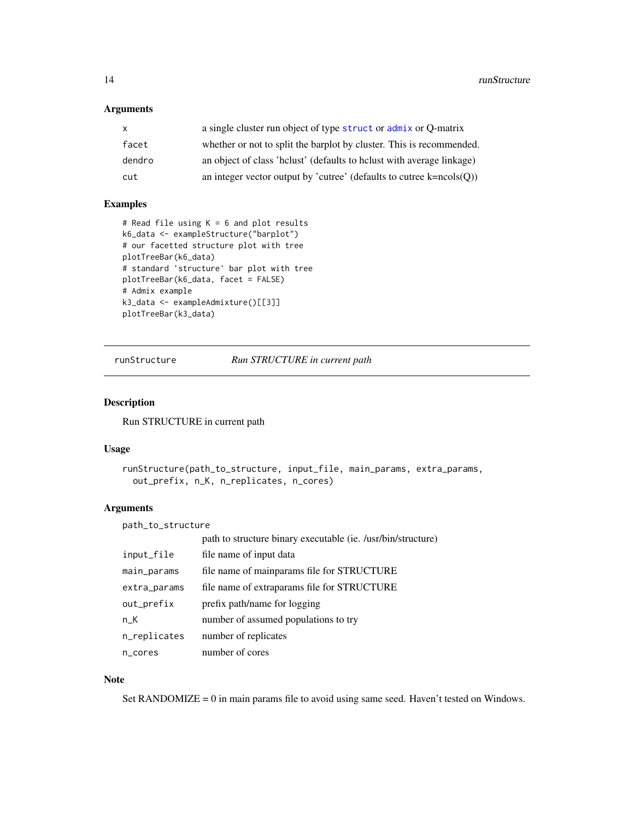#### <span id="page-13-0"></span>Arguments

| $\mathsf{x}$ | a single cluster run object of type struct or admix or Q-matrix                   |
|--------------|-----------------------------------------------------------------------------------|
| facet        | whether or not to split the barplot by cluster. This is recommended.              |
| dendro       | an object of class 'helust' (defaults to helust with average linkage)             |
| cut          | an integer vector output by 'cutree' (defaults to cutree $k = n \text{cols}(Q)$ ) |

#### Examples

```
# Read file using K = 6 and plot results
k6_data <- exampleStructure("barplot")
# our facetted structure plot with tree
plotTreeBar(k6_data)
# standard 'structure' bar plot with tree
plotTreeBar(k6_data, facet = FALSE)
# Admix example
k3_data <- exampleAdmixture()[[3]]
plotTreeBar(k3_data)
```
runStructure *Run STRUCTURE in current path*

#### Description

Run STRUCTURE in current path

#### Usage

```
runStructure(path_to_structure, input_file, main_params, extra_params,
 out_prefix, n_K, n_replicates, n_cores)
```
#### Arguments

path\_to\_structure

|              | path to structure binary executable (ie. /usr/bin/structure) |
|--------------|--------------------------------------------------------------|
| input_file   | file name of input data                                      |
| main_params  | file name of mainparams file for STRUCTURE                   |
| extra_params | file name of extraparams file for STRUCTURE                  |
| out_prefix   | prefix path/name for logging                                 |
| n_K          | number of assumed populations to try                         |
| n_replicates | number of replicates                                         |
| n_cores      | number of cores                                              |

#### Note

Set RANDOMIZE  $= 0$  in main params file to avoid using same seed. Haven't tested on Windows.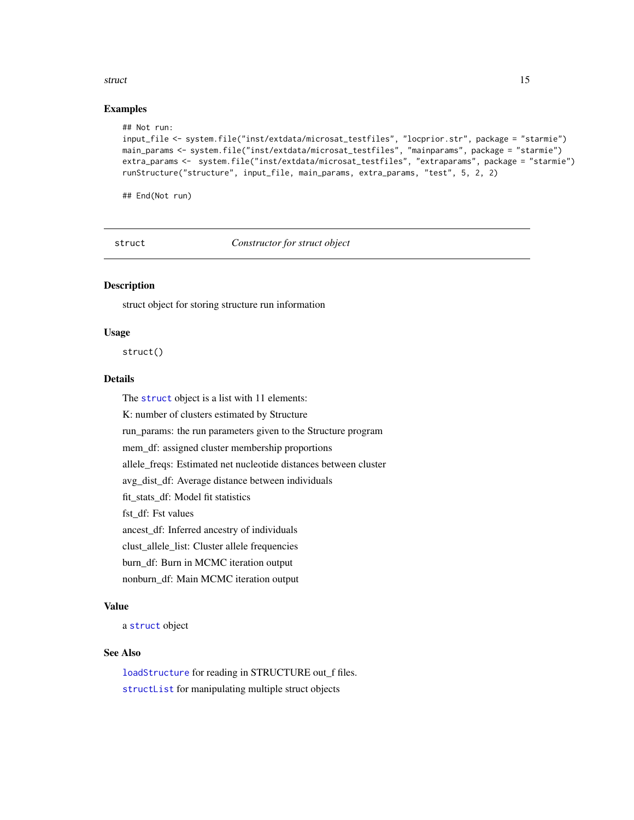#### <span id="page-14-0"></span>struct the struct of the struct of the structure of the structure of the structure of the structure of the structure of the structure of the structure of the structure of the structure of the structure of the structure of

#### Examples

```
## Not run:
input_file <- system.file("inst/extdata/microsat_testfiles", "locprior.str", package = "starmie")
main_params <- system.file("inst/extdata/microsat_testfiles", "mainparams", package = "starmie")
extra_params <- system.file("inst/extdata/microsat_testfiles", "extraparams", package = "starmie")
runStructure("structure", input_file, main_params, extra_params, "test", 5, 2, 2)
```
## End(Not run)

<span id="page-14-1"></span>struct *Constructor for struct object*

#### Description

struct object for storing structure run information

#### Usage

struct()

#### **Details**

The [struct](#page-14-1) object is a list with 11 elements:

K: number of clusters estimated by Structure

run\_params: the run parameters given to the Structure program

mem\_df: assigned cluster membership proportions

allele\_freqs: Estimated net nucleotide distances between cluster

avg\_dist\_df: Average distance between individuals

fit\_stats\_df: Model fit statistics

fst\_df: Fst values

ancest\_df: Inferred ancestry of individuals

clust\_allele\_list: Cluster allele frequencies

burn\_df: Burn in MCMC iteration output

nonburn\_df: Main MCMC iteration output

#### Value

a [struct](#page-14-1) object

#### See Also

[loadStructure](#page-9-1) for reading in STRUCTURE out\_f files. [structList](#page-15-1) for manipulating multiple struct objects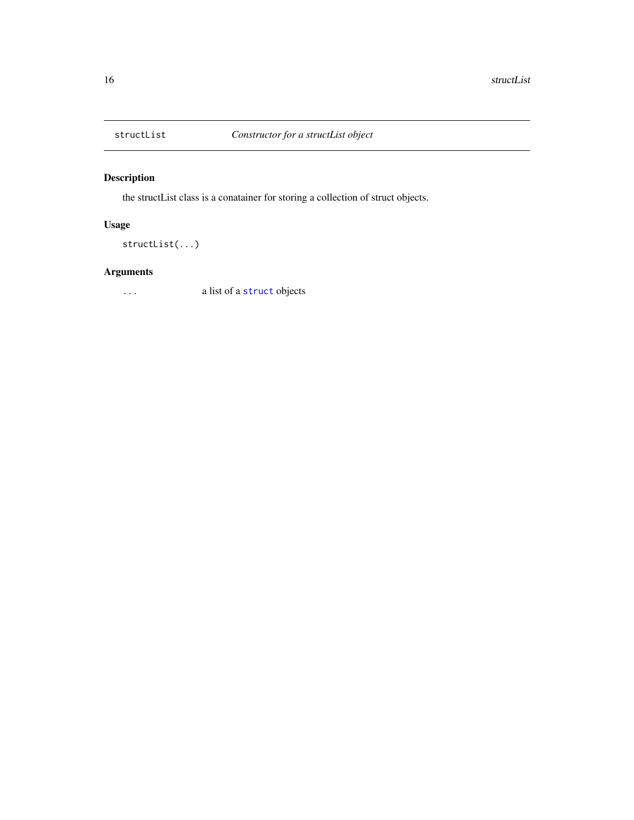<span id="page-15-1"></span><span id="page-15-0"></span>

the structList class is a conatainer for storing a collection of struct objects.

#### Usage

```
structList(...)
```
#### Arguments

... a list of a [struct](#page-14-1) objects